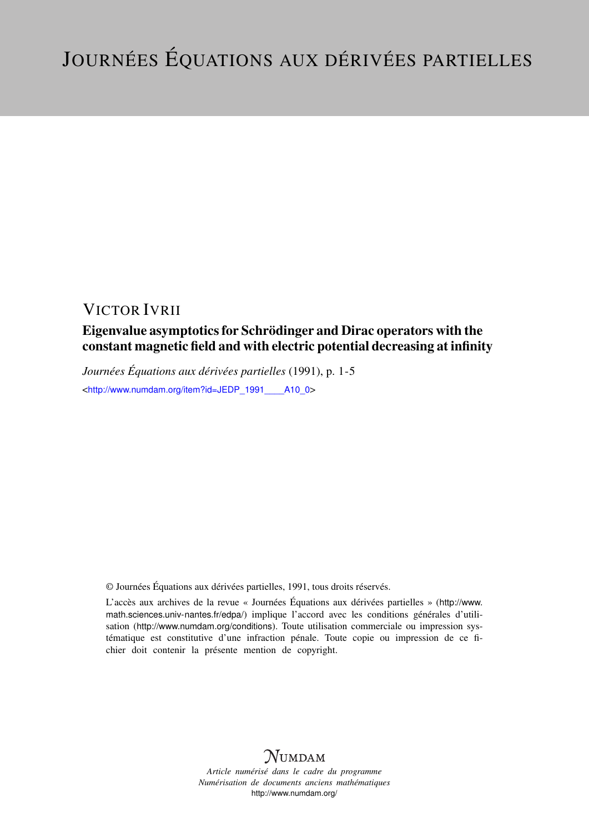## VICTOR IVRII

## Eigenvalue asymptotics for Schrödinger and Dirac operators with the constant magnetic field and with electric potential decreasing at infinity

*Journées Équations aux dérivées partielles* (1991), p. 1-5 <[http://www.numdam.org/item?id=JEDP\\_1991\\_\\_\\_\\_A10\\_0](http://www.numdam.org/item?id=JEDP_1991____A10_0)>

© Journées Équations aux dérivées partielles, 1991, tous droits réservés.

L'accès aux archives de la revue « Journées Équations aux dérivées partielles » ([http://www.](http://www.math.sciences.univ-nantes.fr/edpa/) [math.sciences.univ-nantes.fr/edpa/](http://www.math.sciences.univ-nantes.fr/edpa/)) implique l'accord avec les conditions générales d'utilisation (<http://www.numdam.org/conditions>). Toute utilisation commerciale ou impression systématique est constitutive d'une infraction pénale. Toute copie ou impression de ce fichier doit contenir la présente mention de copyright.



*Article numérisé dans le cadre du programme Numérisation de documents anciens mathématiques* <http://www.numdam.org/>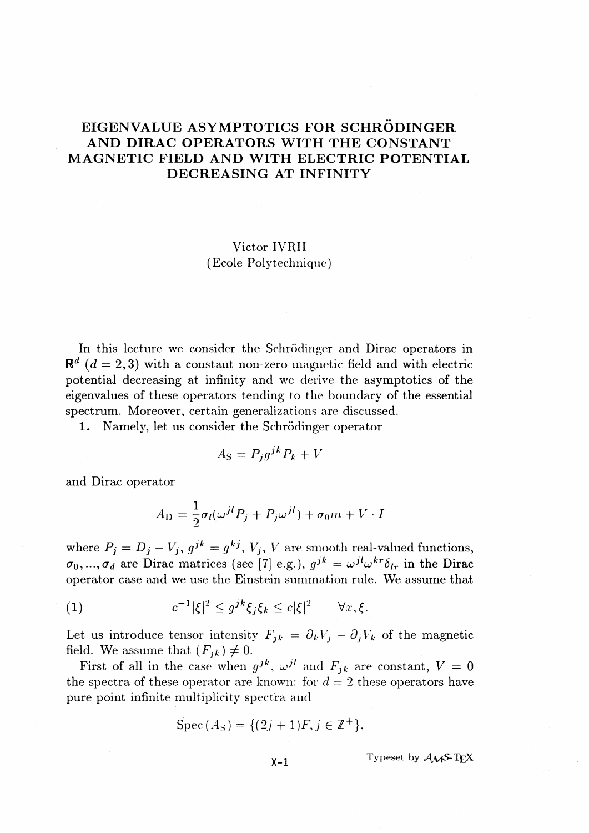## **EIGENVALUE ASYMPTOTICS FOR SCHRODINGER AND DIRAC OPERATORS WITH THE CONSTANT MAGNETIC FIELD AND WITH ELECTRIC POTENTIAL DECREASING AT INFINITY**

### Victor IVRII (Ecole Poly technique)

In this lecture we consider the Schrödinger and Dirac operators in  $R<sup>d</sup>$  ( $d=2,3$ ) with a constant non-zero magnetic field and with electric potential decreasing at infinity and we derive the asymptotics of the eigenvalues of these operators tending to the boundary of the essential spectrum. Moreover, certain generalizations are discussed.

1. Namely, let us consider the Schrödinger operator

$$
A_{\rm S} = P_j g^{jk} P_k + V
$$

and Dirac operator

$$
A_{\rm D} = \frac{1}{2}\sigma_l(\omega^{jl}P_j + P_j\omega^{jl}) + \sigma_0 m + V \cdot I
$$

 $\text{where } P_j = D_j - V_j, \, g^{jk} = g^{kj}, \, V_j, \, V \text{ are smooth real-valued functions,}$  $(\sigma_0, ..., \sigma_d)$  are Dirac matrices (see [7] e.g.),  $g^{jk} = \omega^{jl} \omega^{kr} \delta_{lr}$  in the Dirac operator case and we use the Einstein summation rule. We assume that

(1) 
$$
c^{-1}|\xi|^2 \leq g^{jk}\xi_j\xi_k \leq c|\xi|^2 \quad \forall x, \xi.
$$

Let us introduce tensor intensity  $F_{ik} = \partial_k V_i - \partial_j V_k$  of the magnetic field. We assume that  $(F_{jk}) \neq 0$ .

First of all in the case when  $g^{jk}$ ,  $\omega^{jl}$  and  $F_{jk}$  are constant,  $V = 0$ the spectra of these operator are known: for  $d=2$  these operators have pure point infinite multiplicity spectra and

$$
Spec (A_S) = \{(2j + 1)F, j \in \mathbb{Z}^+\},
$$

 $X-1$  Typeset by  $A_{\mathcal{M}}S$ -**T**<sub>E</sub>X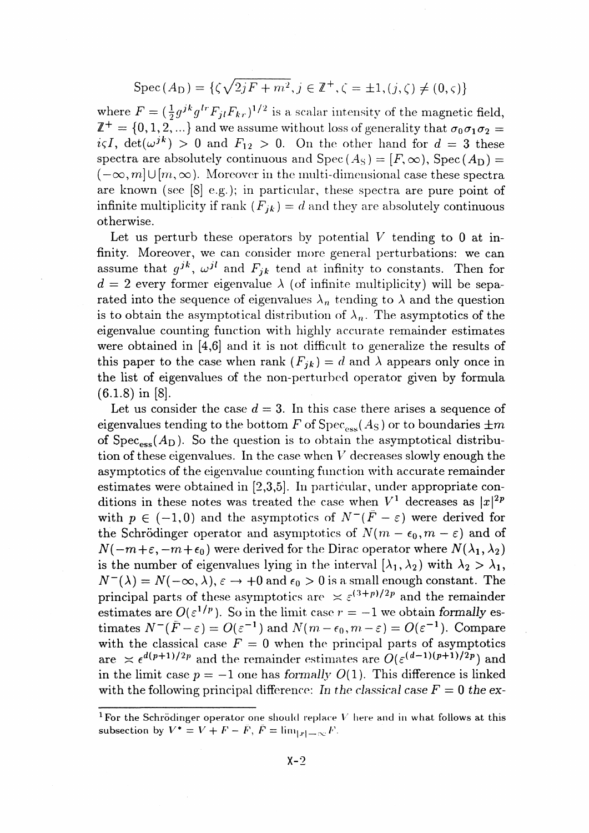# $Spec(A_D) = \{ \zeta \sqrt{2jF+m^2}, j \in \mathbb{Z}^+, \zeta = \pm 1, (j,\zeta) \neq (0,\zeta) \}$

where  $F = (\frac{1}{2} g^{jk} g^{lr} F_{il} F_{kr})^{1/2}$  is a scalar intensity of the magnetic field,  $\mathbb{Z}^+ = \{0,1,2,...\}$  and we assume without loss of generality that  $\sigma_0\sigma_1\sigma_2 =$  $i\varsigma I$ , det $(\omega^{jk}) > 0$  and  $F_{12} > 0$ . On the other hand for  $d = 3$  these spectra are absolutely continuous and  $Spec (A_S) = [F, \infty)$ ,  $Spec (A_D) =$  $(-\infty, m] \cup [m, \infty)$ . Moreover in the multi-dimensional case these spectra are known (see [8] e.g.); in particular, these spectra are pure point of infinite multiplicity if rank  $(F_{jk}) = d$  and they are absolutely continuous otherwise.

Let us perturb these operators by potential *V* tending to 0 at infinity. Moreover, we can consider more general perturbations: we can assume that  $g^{jk}$ ,  $\omega^{jl}$  and  $F_{jk}$  tend at infinity to constants. Then for  $d = 2$  every former eigenvalue  $\lambda$  (of infinite multiplicity) will be separated into the sequence of eigenvalues  $\lambda_n$  tending to  $\lambda$  and the question is to obtain the asymptotical distribution of  $\lambda_n$ . The asymptotics of the eigenvalue counting function with highly accurate remainder estimates were obtained in [4,6] and it is not difficult to generalize the results of this paper to the case when rank  $(F_{ik}) = d$  and  $\lambda$  appears only once in the list of eigenvalues of the non-perturbed operator given by formula (6.1.8) in [8].

Let us consider the case  $d = 3$ . In this case there arises a sequence of eigenvalues tending to the bottom F of  $Spec_{ess}(A_S)$  or to boundaries  $\pm m$ of  $Spec_{ess}(A_D)$ . So the question is to obtain the asymptotical distribution of these eigenvalues. In the case when *V* decreases slowly enough the asymptotics of the eigenvalue counting function with accurate remainder estimates were obtained in [2,3,5]. In particular, under appropriate conditions in these notes was treated the case when  $V^1$  decreases as  $|x|^2$ with  $p \in (-1,0)$  and the asymptotics of  $N^-(\bar{F}-\varepsilon)$  were derived for the Schrödinger operator and asymptotics of  $N(m - \epsilon_0, m - \varepsilon)$  and of  $N(-m+\varepsilon, -m+\epsilon_0)$  were derived for the Dirac operator where  $N({\lambda}_1, {\lambda}_2)$ is the number of eigenvalues lying in the interval  $[\lambda_1, \lambda_2)$  with  $\lambda_2 > \lambda_1$ ,  $N^{-}(\lambda) = N(-\infty, \lambda), \varepsilon \to +0$  and  $\epsilon_0 > 0$  is a small enough constant. The principal parts of these asymptotics are  $\leq \varepsilon^{(3+p)/2p}$  and the remainder estimates are  $O(\varepsilon^{1/p})$ . So in the limit case  $r = -1$  we obtain formally estimates  $N^{-}(\bar{F}-\varepsilon) = O(\varepsilon^{-1})$  and  $N(m-\varepsilon_0,m-\varepsilon) = O(\varepsilon^{-1})$ . Compare with the classical case  $F = 0$  when the principal parts of asymptotics timates  $N^-(F - \varepsilon) = O(\varepsilon^{-1})$  and  $N(m - \varepsilon_0, m - \varepsilon) = O(\varepsilon^{-1})$ . Compare<br>with the classical case  $F = 0$  when the principal parts of asymptotics<br>are  $\approx \varepsilon^{d(p+1)/2p}$  and the remainder estimates are  $O(\varepsilon^{(d-1)(p+1)/2p})$  and in the limit case  $p = -1$  one has formally  $O(1)$ . This difference is linked with the following principal difference: In the classical case  $F = 0$  the ex-

<sup>&</sup>lt;sup>1</sup> For the Schrödinger operator one should replace V here and in what follows at this subsection by  $V^* = V + F - \bar{F}$ ,  $\bar{F} = \lim_{|x| \to \infty} F$ .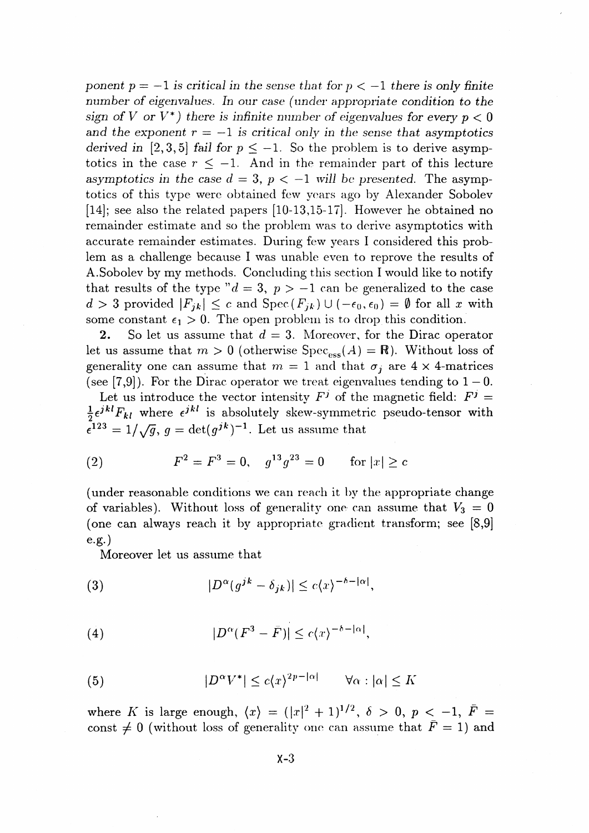*ponent p* =  $-1$  *is critical in the sense that for p*  $\lt -1$  *there is only finite number* of eigenvalues. In our case (under appropriate condition to the *sign of V or V<sup>\*</sup>) there is infinite number of eigenvalues for every*  $p < 0$ and the exponent  $r = -1$  is critical only in the sense that asymptotics *derived in* [2,3,5] *fail for*  $p \le -1$ . So the problem is to derive asymptotics in the case  $r \leq -1$ . And in the remainder part of this lecture asymptotics in the case  $d = 3$ ,  $p < -1$  will be presented. The asymptotics of this type were obtained few years ago *by* Alexander Sobolev [14]; see also the related papers [10-13,15-17]. However he obtained no remainder estimate and so the problem was to derive asymptotics with accurate remainder estimates. During few years I considered this problem as a challenge because I was unable even to reprove the results of A.Sobolev by my methods. Concluding this section I would like to notify that results of the type " $d = 3$ ,  $p > -1$  can be generalized to the case  $d > 3$  provided  $|F_{ik}| \leq c$  and  $Spec(F_{ik}) \cup (-\epsilon_0, \epsilon_0) = \emptyset$  for all x with some constant  $\epsilon_1 > 0$ . The open problem is to drop this condition.

**2.** So let us assume that  $d=3$ . Moreover, for the Dirac operator let us assume that  $m > 0$  (otherwise  $Spec_{\text{ess}}(A) = \mathbb{R}$ ). Without loss of generality one can assume that  $m = 1$  and that  $\sigma_i$  are  $4 \times 4$ -matrices (see [7,9]). For the Dirac operator we treat eigenvalues tending to  $1-0$ .

Let us introduce the vector intensity  $F^j$  of the magnetic field:  $F^j =$  $\frac{1}{2} \epsilon^{jkl} F_{kl}$  where  $\epsilon^{jkl}$  is absolutely skew-symmetric pseudo-tensor with  $\epsilon^{123} = 1/\sqrt{g}$ ,  $g = \det(g^{jk})^{-1}$ . Let us assume that

(2) 
$$
F^2 = F^3 = 0
$$
,  $g^{13}g^{23} = 0$  for  $|x| \ge c$ 

(under reasonable conditions we can reach it by the appropriate change of variables). Without loss of generality one can assume that  $V_3 = 0$ (one can always reach it by appropriate gradient transform; see [8,9] e.g.)

Moreover let us assume that

(3) 
$$
|D^{\alpha}(g^{jk}-\delta_{jk})| \leq c\langle x\rangle^{-\delta-|\alpha|},
$$

(4) 
$$
|D^{\alpha}(F^3 - \tilde{F})| \leq c\langle x \rangle^{-\delta - |\alpha|},
$$

(5) 
$$
|D^{\alpha}V^*| \le c\langle x\rangle^{2p-|\alpha|} \qquad \forall \alpha : |\alpha| \le K
$$

where *K* is large enough,  $\langle x \rangle = (|x|^2 + 1)^{1/2}, \delta > 0, p < -1, \bar{F}$ const  $\neq 0$  (without loss of generality one can assume that  $F = 1$ ) and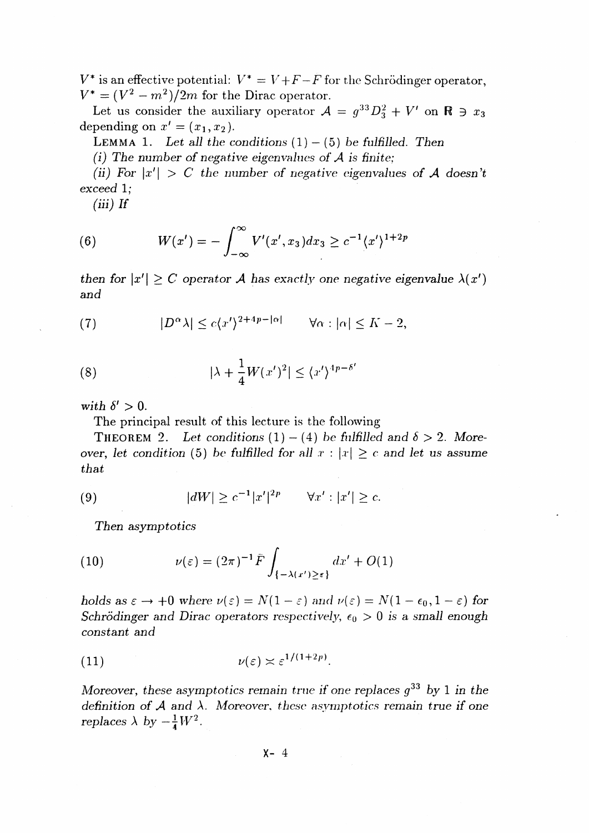$V^*$  is an effective potential:  $V^* = V + F - \bar{F}$  for the Schrödinger operator,  $V^* = (V^2 - m^2)/2m$  for the Dirac operator.

Let us consider the auxiliary operator  $A = g^{33}D_3^2 + V'$  on  $\mathbb{R} \ni x_3$ depending on  $x' = (x_1, x_2)$ .

LEMMA 1. Let all the conditions  $(1) - (5)$  be fulfilled. Then

*(i) The number of negative eigenvalues of A is finite;*

*(ii)* For  $|x'| > C$  the number of negative eigenvalues of A doesn't *exceed 1;*

 $(iii)$  *If* 

(6) 
$$
W(x') = -\int_{-\infty}^{\infty} V'(x', x_3) dx_3 \geq c^{-1} \langle x' \rangle^{1+2p}
$$

*then for*  $|x'| \ge C$  *operator A has exactly one negative eigenvalue*  $\lambda(x')$ *and*

(7) 
$$
|D^{\alpha}\lambda| \le c\langle x'\rangle^{2+4p-|\alpha|} \quad \forall \alpha : |\alpha| \le K-2,
$$

(8) 
$$
|\lambda + \frac{1}{4}W(x')^2| \leq \langle x' \rangle^{4p - \delta'}
$$

with  $\delta' > 0$ .

The principal result of this lecture is the following

**THEOREM** 2. Let conditions  $(1) - (4)$  be fulfilled and  $\delta > 2$ . Moreover, let condition (5) be fulfilled for all  $x : |x| \ge c$  and let us assume *that*

(9) 
$$
|dW| \geq c^{-1}|x'|^{2p} \quad \forall x': |x'| \geq c.
$$

*Then asymptotics*

(10) 
$$
\nu(\varepsilon) = (2\pi)^{-1} \bar{F} \int_{\{-\lambda(x')\geq \varepsilon\}} dx' + O(1)
$$

*holds as*  $\varepsilon \rightarrow +0$  where  $\nu(\varepsilon) = N(1 - \varepsilon)$  and  $\nu(\varepsilon) = N(1 - \varepsilon_0, 1 - \varepsilon)$  for *Schrödinger and Dirac operators respectively,*  $\epsilon_0 > 0$  *is a small enough constant and*

(11) 
$$
\nu(\varepsilon) \asymp \varepsilon^{1/(1+2p)}.
$$

Moreover, these *asymptotics remain true if one replaces g <sup>33</sup> by* 1 *in the definition of A and \. Moreover, these asymptotics remain true if one replaces*  $\lambda$  *by*  $-\frac{1}{4}W^2$ .

 $X - 4$